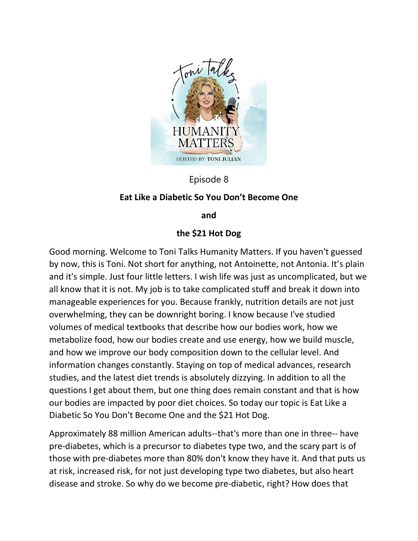

Episode 8

## **Eat Like a Diabetic So You Don't Become One**

**and**

## **the \$21 Hot Dog**

Good morning. Welcome to Toni Talks Humanity Matters. If you haven't guessed by now, this is Toni. Not short for anything, not Antoinette, not Antonia. It's plain and it's simple. Just four little letters. I wish life was just as uncomplicated, but we all know that it is not. My job is to take complicated stuff and break it down into manageable experiences for you. Because frankly, nutrition details are not just overwhelming, they can be downright boring. I know because I've studied volumes of medical textbooks that describe how our bodies work, how we metabolize food, how our bodies create and use energy, how we build muscle, and how we improve our body composition down to the cellular level. And information changes constantly. Staying on top of medical advances, research studies, and the latest diet trends is absolutely dizzying. In addition to all the questions I get about them, but one thing does remain constant and that is how our bodies are impacted by poor diet choices. So today our topic is Eat Like a Diabetic So You Don't Become One and the \$21 Hot Dog.

Approximately 88 million American adults--that's more than one in three-- have pre-diabetes, which is a precursor to diabetes type two, and the scary part is of those with pre-diabetes more than 80% don't know they have it. And that puts us at risk, increased risk, for not just developing type two diabetes, but also heart disease and stroke. So why do we become pre-diabetic, right? How does that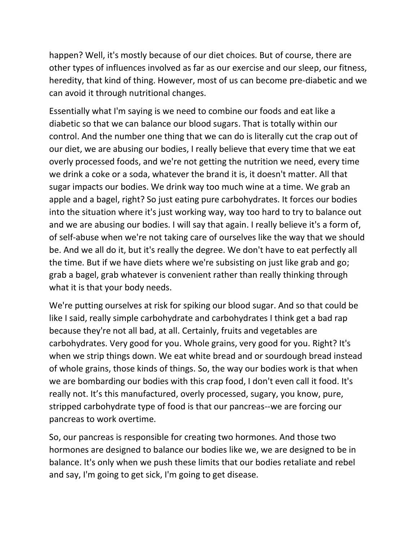happen? Well, it's mostly because of our diet choices. But of course, there are other types of influences involved as far as our exercise and our sleep, our fitness, heredity, that kind of thing. However, most of us can become pre-diabetic and we can avoid it through nutritional changes.

Essentially what I'm saying is we need to combine our foods and eat like a diabetic so that we can balance our blood sugars. That is totally within our control. And the number one thing that we can do is literally cut the crap out of our diet, we are abusing our bodies, I really believe that every time that we eat overly processed foods, and we're not getting the nutrition we need, every time we drink a coke or a soda, whatever the brand it is, it doesn't matter. All that sugar impacts our bodies. We drink way too much wine at a time. We grab an apple and a bagel, right? So just eating pure carbohydrates. It forces our bodies into the situation where it's just working way, way too hard to try to balance out and we are abusing our bodies. I will say that again. I really believe it's a form of, of self-abuse when we're not taking care of ourselves like the way that we should be. And we all do it, but it's really the degree. We don't have to eat perfectly all the time. But if we have diets where we're subsisting on just like grab and go; grab a bagel, grab whatever is convenient rather than really thinking through what it is that your body needs.

We're putting ourselves at risk for spiking our blood sugar. And so that could be like I said, really simple carbohydrate and carbohydrates I think get a bad rap because they're not all bad, at all. Certainly, fruits and vegetables are carbohydrates. Very good for you. Whole grains, very good for you. Right? It's when we strip things down. We eat white bread and or sourdough bread instead of whole grains, those kinds of things. So, the way our bodies work is that when we are bombarding our bodies with this crap food, I don't even call it food. It's really not. It's this manufactured, overly processed, sugary, you know, pure, stripped carbohydrate type of food is that our pancreas--we are forcing our pancreas to work overtime.

So, our pancreas is responsible for creating two hormones. And those two hormones are designed to balance our bodies like we, we are designed to be in balance. It's only when we push these limits that our bodies retaliate and rebel and say, I'm going to get sick, I'm going to get disease.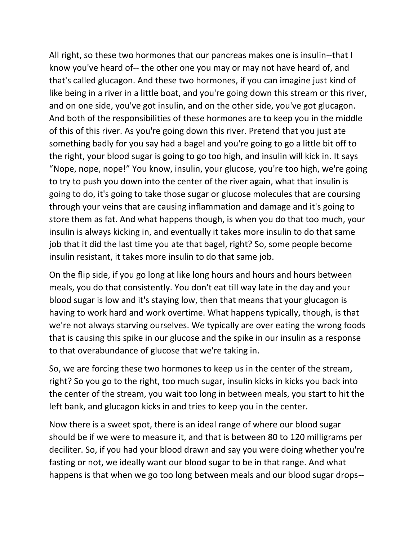All right, so these two hormones that our pancreas makes one is insulin--that I know you've heard of-- the other one you may or may not have heard of, and that's called glucagon. And these two hormones, if you can imagine just kind of like being in a river in a little boat, and you're going down this stream or this river, and on one side, you've got insulin, and on the other side, you've got glucagon. And both of the responsibilities of these hormones are to keep you in the middle of this of this river. As you're going down this river. Pretend that you just ate something badly for you say had a bagel and you're going to go a little bit off to the right, your blood sugar is going to go too high, and insulin will kick in. It says "Nope, nope, nope!" You know, insulin, your glucose, you're too high, we're going to try to push you down into the center of the river again, what that insulin is going to do, it's going to take those sugar or glucose molecules that are coursing through your veins that are causing inflammation and damage and it's going to store them as fat. And what happens though, is when you do that too much, your insulin is always kicking in, and eventually it takes more insulin to do that same job that it did the last time you ate that bagel, right? So, some people become insulin resistant, it takes more insulin to do that same job.

On the flip side, if you go long at like long hours and hours and hours between meals, you do that consistently. You don't eat till way late in the day and your blood sugar is low and it's staying low, then that means that your glucagon is having to work hard and work overtime. What happens typically, though, is that we're not always starving ourselves. We typically are over eating the wrong foods that is causing this spike in our glucose and the spike in our insulin as a response to that overabundance of glucose that we're taking in.

So, we are forcing these two hormones to keep us in the center of the stream, right? So you go to the right, too much sugar, insulin kicks in kicks you back into the center of the stream, you wait too long in between meals, you start to hit the left bank, and glucagon kicks in and tries to keep you in the center.

Now there is a sweet spot, there is an ideal range of where our blood sugar should be if we were to measure it, and that is between 80 to 120 milligrams per deciliter. So, if you had your blood drawn and say you were doing whether you're fasting or not, we ideally want our blood sugar to be in that range. And what happens is that when we go too long between meals and our blood sugar drops--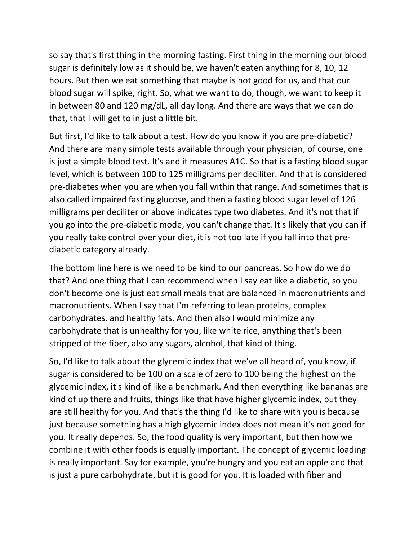so say that's first thing in the morning fasting. First thing in the morning our blood sugar is definitely low as it should be, we haven't eaten anything for 8, 10, 12 hours. But then we eat something that maybe is not good for us, and that our blood sugar will spike, right. So, what we want to do, though, we want to keep it in between 80 and 120 mg/dL, all day long. And there are ways that we can do that, that I will get to in just a little bit.

But first, I'd like to talk about a test. How do you know if you are pre-diabetic? And there are many simple tests available through your physician, of course, one is just a simple blood test. It's and it measures A1C. So that is a fasting blood sugar level, which is between 100 to 125 milligrams per deciliter. And that is considered pre-diabetes when you are when you fall within that range. And sometimes that is also called impaired fasting glucose, and then a fasting blood sugar level of 126 milligrams per deciliter or above indicates type two diabetes. And it's not that if you go into the pre-diabetic mode, you can't change that. It's likely that you can if you really take control over your diet, it is not too late if you fall into that prediabetic category already.

The bottom line here is we need to be kind to our pancreas. So how do we do that? And one thing that I can recommend when I say eat like a diabetic, so you don't become one is just eat small meals that are balanced in macronutrients and macronutrients. When I say that I'm referring to lean proteins, complex carbohydrates, and healthy fats. And then also I would minimize any carbohydrate that is unhealthy for you, like white rice, anything that's been stripped of the fiber, also any sugars, alcohol, that kind of thing.

So, I'd like to talk about the glycemic index that we've all heard of, you know, if sugar is considered to be 100 on a scale of zero to 100 being the highest on the glycemic index, it's kind of like a benchmark. And then everything like bananas are kind of up there and fruits, things like that have higher glycemic index, but they are still healthy for you. And that's the thing I'd like to share with you is because just because something has a high glycemic index does not mean it's not good for you. It really depends. So, the food quality is very important, but then how we combine it with other foods is equally important. The concept of glycemic loading is really important. Say for example, you're hungry and you eat an apple and that is just a pure carbohydrate, but it is good for you. It is loaded with fiber and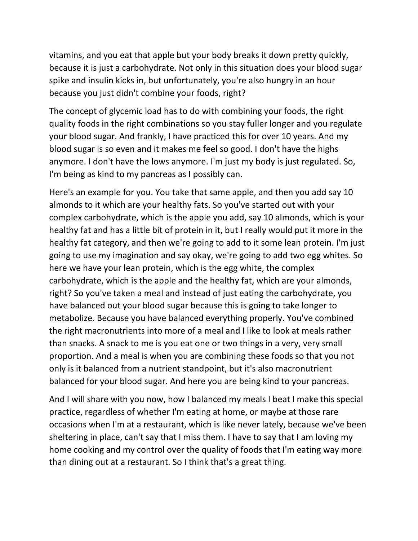vitamins, and you eat that apple but your body breaks it down pretty quickly, because it is just a carbohydrate. Not only in this situation does your blood sugar spike and insulin kicks in, but unfortunately, you're also hungry in an hour because you just didn't combine your foods, right?

The concept of glycemic load has to do with combining your foods, the right quality foods in the right combinations so you stay fuller longer and you regulate your blood sugar. And frankly, I have practiced this for over 10 years. And my blood sugar is so even and it makes me feel so good. I don't have the highs anymore. I don't have the lows anymore. I'm just my body is just regulated. So, I'm being as kind to my pancreas as I possibly can.

Here's an example for you. You take that same apple, and then you add say 10 almonds to it which are your healthy fats. So you've started out with your complex carbohydrate, which is the apple you add, say 10 almonds, which is your healthy fat and has a little bit of protein in it, but I really would put it more in the healthy fat category, and then we're going to add to it some lean protein. I'm just going to use my imagination and say okay, we're going to add two egg whites. So here we have your lean protein, which is the egg white, the complex carbohydrate, which is the apple and the healthy fat, which are your almonds, right? So you've taken a meal and instead of just eating the carbohydrate, you have balanced out your blood sugar because this is going to take longer to metabolize. Because you have balanced everything properly. You've combined the right macronutrients into more of a meal and I like to look at meals rather than snacks. A snack to me is you eat one or two things in a very, very small proportion. And a meal is when you are combining these foods so that you not only is it balanced from a nutrient standpoint, but it's also macronutrient balanced for your blood sugar. And here you are being kind to your pancreas.

And I will share with you now, how I balanced my meals I beat I make this special practice, regardless of whether I'm eating at home, or maybe at those rare occasions when I'm at a restaurant, which is like never lately, because we've been sheltering in place, can't say that I miss them. I have to say that I am loving my home cooking and my control over the quality of foods that I'm eating way more than dining out at a restaurant. So I think that's a great thing.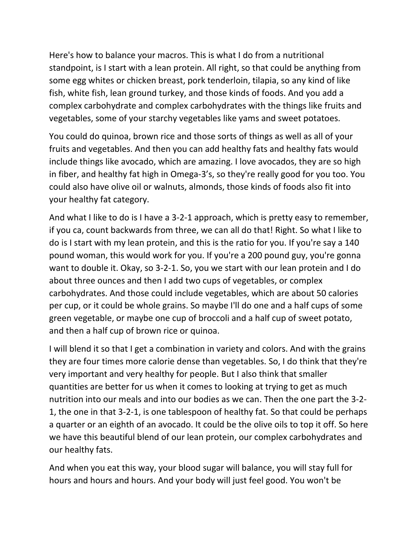Here's how to balance your macros. This is what I do from a nutritional standpoint, is I start with a lean protein. All right, so that could be anything from some egg whites or chicken breast, pork tenderloin, tilapia, so any kind of like fish, white fish, lean ground turkey, and those kinds of foods. And you add a complex carbohydrate and complex carbohydrates with the things like fruits and vegetables, some of your starchy vegetables like yams and sweet potatoes.

You could do quinoa, brown rice and those sorts of things as well as all of your fruits and vegetables. And then you can add healthy fats and healthy fats would include things like avocado, which are amazing. I love avocados, they are so high in fiber, and healthy fat high in Omega-3's, so they're really good for you too. You could also have olive oil or walnuts, almonds, those kinds of foods also fit into your healthy fat category.

And what I like to do is I have a 3-2-1 approach, which is pretty easy to remember, if you ca, count backwards from three, we can all do that! Right. So what I like to do is I start with my lean protein, and this is the ratio for you. If you're say a 140 pound woman, this would work for you. If you're a 200 pound guy, you're gonna want to double it. Okay, so 3-2-1. So, you we start with our lean protein and I do about three ounces and then I add two cups of vegetables, or complex carbohydrates. And those could include vegetables, which are about 50 calories per cup, or it could be whole grains. So maybe I'll do one and a half cups of some green vegetable, or maybe one cup of broccoli and a half cup of sweet potato, and then a half cup of brown rice or quinoa.

I will blend it so that I get a combination in variety and colors. And with the grains they are four times more calorie dense than vegetables. So, I do think that they're very important and very healthy for people. But I also think that smaller quantities are better for us when it comes to looking at trying to get as much nutrition into our meals and into our bodies as we can. Then the one part the 3-2- 1, the one in that 3-2-1, is one tablespoon of healthy fat. So that could be perhaps a quarter or an eighth of an avocado. It could be the olive oils to top it off. So here we have this beautiful blend of our lean protein, our complex carbohydrates and our healthy fats.

And when you eat this way, your blood sugar will balance, you will stay full for hours and hours and hours. And your body will just feel good. You won't be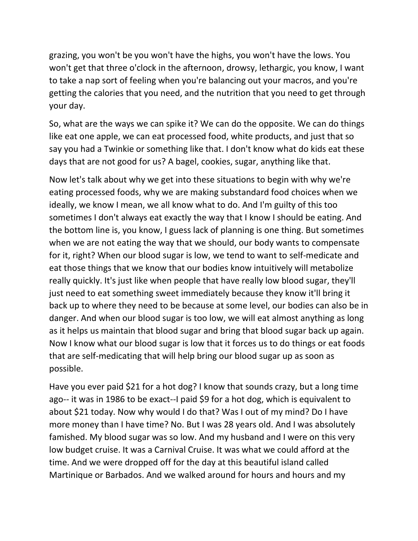grazing, you won't be you won't have the highs, you won't have the lows. You won't get that three o'clock in the afternoon, drowsy, lethargic, you know, I want to take a nap sort of feeling when you're balancing out your macros, and you're getting the calories that you need, and the nutrition that you need to get through your day.

So, what are the ways we can spike it? We can do the opposite. We can do things like eat one apple, we can eat processed food, white products, and just that so say you had a Twinkie or something like that. I don't know what do kids eat these days that are not good for us? A bagel, cookies, sugar, anything like that.

Now let's talk about why we get into these situations to begin with why we're eating processed foods, why we are making substandard food choices when we ideally, we know I mean, we all know what to do. And I'm guilty of this too sometimes I don't always eat exactly the way that I know I should be eating. And the bottom line is, you know, I guess lack of planning is one thing. But sometimes when we are not eating the way that we should, our body wants to compensate for it, right? When our blood sugar is low, we tend to want to self-medicate and eat those things that we know that our bodies know intuitively will metabolize really quickly. It's just like when people that have really low blood sugar, they'll just need to eat something sweet immediately because they know it'll bring it back up to where they need to be because at some level, our bodies can also be in danger. And when our blood sugar is too low, we will eat almost anything as long as it helps us maintain that blood sugar and bring that blood sugar back up again. Now I know what our blood sugar is low that it forces us to do things or eat foods that are self-medicating that will help bring our blood sugar up as soon as possible.

Have you ever paid \$21 for a hot dog? I know that sounds crazy, but a long time ago-- it was in 1986 to be exact--I paid \$9 for a hot dog, which is equivalent to about \$21 today. Now why would I do that? Was I out of my mind? Do I have more money than I have time? No. But I was 28 years old. And I was absolutely famished. My blood sugar was so low. And my husband and I were on this very low budget cruise. It was a Carnival Cruise. It was what we could afford at the time. And we were dropped off for the day at this beautiful island called Martinique or Barbados. And we walked around for hours and hours and my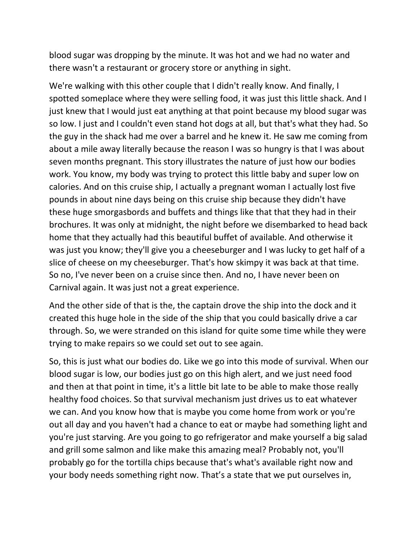blood sugar was dropping by the minute. It was hot and we had no water and there wasn't a restaurant or grocery store or anything in sight.

We're walking with this other couple that I didn't really know. And finally, I spotted someplace where they were selling food, it was just this little shack. And I just knew that I would just eat anything at that point because my blood sugar was so low. I just and I couldn't even stand hot dogs at all, but that's what they had. So the guy in the shack had me over a barrel and he knew it. He saw me coming from about a mile away literally because the reason I was so hungry is that I was about seven months pregnant. This story illustrates the nature of just how our bodies work. You know, my body was trying to protect this little baby and super low on calories. And on this cruise ship, I actually a pregnant woman I actually lost five pounds in about nine days being on this cruise ship because they didn't have these huge smorgasbords and buffets and things like that that they had in their brochures. It was only at midnight, the night before we disembarked to head back home that they actually had this beautiful buffet of available. And otherwise it was just you know; they'll give you a cheeseburger and I was lucky to get half of a slice of cheese on my cheeseburger. That's how skimpy it was back at that time. So no, I've never been on a cruise since then. And no, I have never been on Carnival again. It was just not a great experience.

And the other side of that is the, the captain drove the ship into the dock and it created this huge hole in the side of the ship that you could basically drive a car through. So, we were stranded on this island for quite some time while they were trying to make repairs so we could set out to see again.

So, this is just what our bodies do. Like we go into this mode of survival. When our blood sugar is low, our bodies just go on this high alert, and we just need food and then at that point in time, it's a little bit late to be able to make those really healthy food choices. So that survival mechanism just drives us to eat whatever we can. And you know how that is maybe you come home from work or you're out all day and you haven't had a chance to eat or maybe had something light and you're just starving. Are you going to go refrigerator and make yourself a big salad and grill some salmon and like make this amazing meal? Probably not, you'll probably go for the tortilla chips because that's what's available right now and your body needs something right now. That's a state that we put ourselves in,